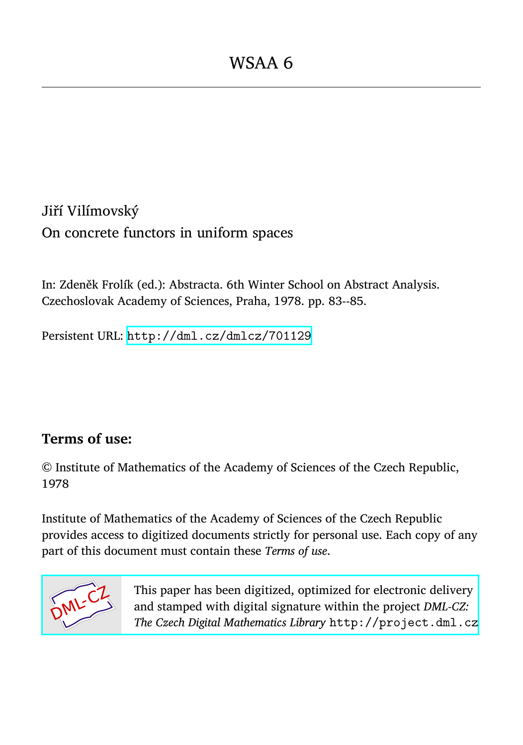Jiří Vilímovský On concrete functors in uniform spaces

In: Zdeněk Frolík (ed.): Abstracta. 6th Winter School on Abstract Analysis. Czechoslovak Academy of Sciences, Praha, 1978. pp. 83--85.

Persistent URL: <http://dml.cz/dmlcz/701129>

## **Terms of use:**

© Institute of Mathematics of the Academy of Sciences of the Czech Republic, 1978

Institute of Mathematics of the Academy of Sciences of the Czech Republic provides access to digitized documents strictly for personal use. Each copy of any part of this document must contain these *Terms of use*.



[This paper has been digitized, optimized for electronic delivery](http://project.dml.cz) and stamped with digital signature within the project *DML-CZ: The Czech Digital Mathematics Library* http://project.dml.cz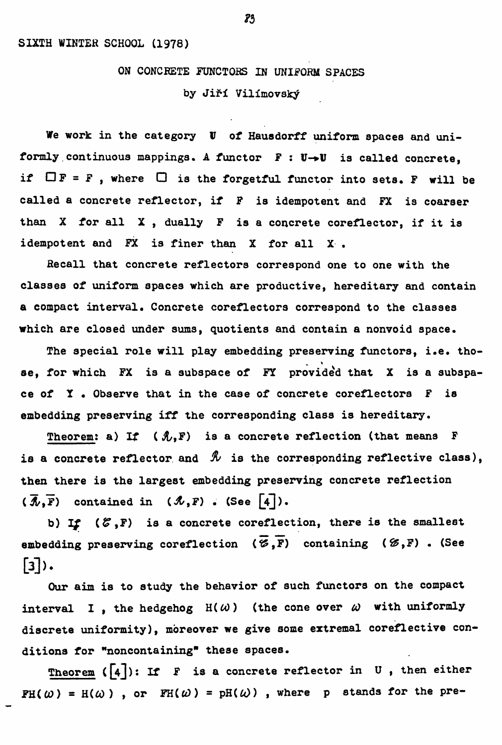## **ON CONCRETE FUNCTO**R**S IN UNIFORM SPACES**  by Jiří Vilímovský

**We work in the category** *V* **of Hausdorff uniform s**p**aces and uni**formly continuous mappings. A functor  $F : U \rightarrow U$  is called concrete, if  $\Box$ **F** = **F**, where  $\Box$  is the forgetful functor into sets. **F** will be **called a concrete reflector, if F is idem**p**otent and FX is coarser than X for all X , dually F is a concrete coreflector, if it is idem**p**otent and FX is finer than X for all X .** 

R**ecall that concrete reflectors corres**p**ond one to one with the classes of uniform s**p**aces which are** p**roductive, hereditary and contain a com**p**act interval. Concrete coreflectors corres**p**ond to the classes which are closed under sums, quotients and contain a nonvoid s**p**ace.** 

**The s**p**ecial role will** p**lay embedding** p**reserving functors, i.e. those, for which FX is a subs**p**ace of FY** p**rovided that X is a subs**p**ace of T • Observe that in the case of concrete coreflectors F is embedding** p**reserving iff the corres**p**onding class is hereditary.** 

**Theorem: a) If ( &,F) is a concrete reflection (that means F**  is a concrete reflector and  $\mathcal{R}$  is the corresponding reflective class), **then there is the largest embedding** p**reserving concrete reflection**   $(\overline{\mathcal{A}},\overline{F})$  contained in  $(\mathcal{A},F)$  . (See  $\boxed{4}$ ).

**b)** *If* **(#,F) is a concrete coreflection, there is the smallest embedding** preserving coreflection  $(\overline{\mathscr{C}},\overline{F})$  containing  $(\mathscr{C},F)$ . (See [3]).

**Our aim is to study the behavior of such functors on the com**p**act interval I**, the hedgehog  $H(\omega)$  (the cone over  $\omega$  with uniformly **discrete uniformity), moreover we give some extremal coreflective conditions for "noncontaining" these s**p**aces.** 

**Theorem ([4^): If F is a concrete reflector in U , then either**   $FH(\omega) = H(\omega)$ , or  $FH(\omega) = pH(\omega)$ , where p stands for the pre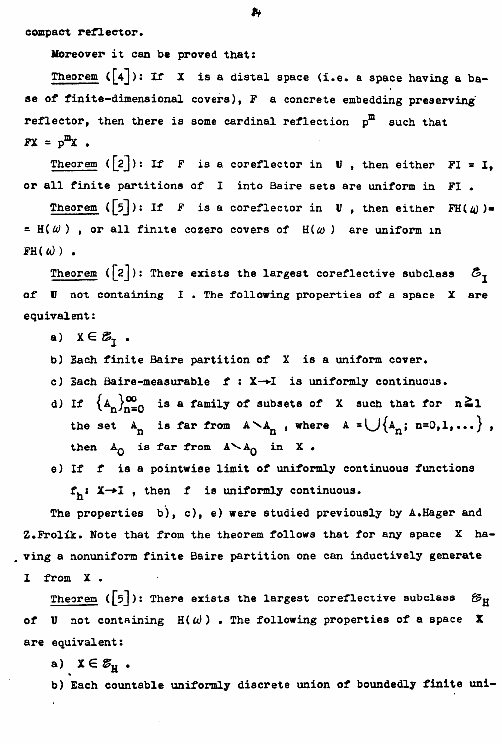**compact reflector.** 

**Moreover it can be proved that:** 

**Theorem ([4]): If X is a distal space (i.e. a space having a base of finite-dimensional covers), F a concrete embedding preserving reflector, then there is some cardinal reflection p<sup>m</sup> such that**   $FX = p^m X$ .

Theorem  $([2])$ : If *F* is a coreflector in U, then either FI = I, **or all finite partitions of I into Baire sets are uniform in FI .** 

**Theorem** ( $\lceil 5 \rceil$ ): If F is a coreflector in U, then either FH( $\omega$ )=  $=$  H( $\omega$ ), or all finite cozero covers of  $H(\omega)$  are uniform in  $FH(u)$ .

**Theorem** ( $[2]$ ): There exists the largest coreflective subclass  $\mathcal{E}_{\tau}$ **of** *V* **not containing I • The following properties of a space X are equivalent:** 

a)  $X \in \mathcal{B}_T$ .

**b) Each finite Baire partition of X is a uniform cover.** 

- **c) Each Baire-measurable f : X—\*I is uniformly continuous.**
- **d)** If  $\{A_n\}_{n=0}^{\infty}$  is a family of subsets of X such that for  $n \ge 1$ the set  $A_n$  is far from  $A \setminus A_n$ , where  $A = \bigcup \{A_n; n=0,1,\ldots\}$ , then  $A_0$  is far from  $A \setminus A_0$  in X.
- **e) If f is a pointwise limit of uniformly continuous functions f.: X-\*I , then f is uniformly continuous.**

**The properties b), c), e) were studied previously by A.Hager and Z.Frolik. Note that from the theorem follows that for any space X ha- , ving a nonuniform finite Baire partition one can inductively generate I from X .** 

**Theorem** ( $\lceil 5 \rceil$ ): There exists the largest coreflective subclass  $\mathscr{B}_{\mathbf{H}}$ of **V** not containing  $H(\omega)$  . The following properties of a space X **are e**q**uivalent:** 

a)  $X \in \mathcal{E}_{\mathcal{H}}$ .

**b) Each countable uniformly discrete union of boundedly finite uni-**

*fit*